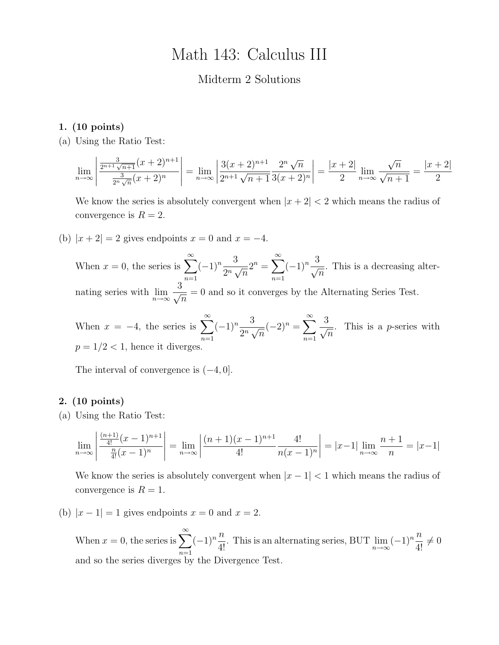# Math 143: Calculus III

## Midterm 2 Solutions

### 1. (10 points)

(a) Using the Ratio Test:

$$
\lim_{n \to \infty} \left| \frac{\frac{3}{2^{n+1}\sqrt{n+1}}(x+2)^{n+1}}{\frac{3}{2^n\sqrt{n}}(x+2)^n} \right| = \lim_{n \to \infty} \left| \frac{3(x+2)^{n+1}}{2^{n+1}\sqrt{n+1}} \frac{2^n\sqrt{n}}{3(x+2)^n} \right| = \frac{|x+2|}{2} \lim_{n \to \infty} \frac{\sqrt{n}}{\sqrt{n+1}} = \frac{|x+2|}{2}
$$

We know the series is absolutely convergent when  $|x + 2| < 2$  which means the radius of convergence is  $R = 2$ .

(b)  $|x+2|=2$  gives endpoints  $x=0$  and  $x=-4$ .

When  $x = 0$ , the series is  $\sum_{n=0}^{\infty}$  $n=1$  $(-1)^n \frac{3}{2^n}$  $\frac{6}{2^n}\sqrt{ }$  $\overline{n}$  $2^n = \sum_{n=1}^{\infty}$  $n=1$  $(-1)^n \frac{3}{7}$  $\overline{n}$ . This is a decreasing alternating series with  $\lim_{n\to\infty}$  $\frac{3}{\sqrt{2}}$  $\overline{n}$ = 0 and so it converges by the Alternating Series Test.

When  $x = -4$ , the series is  $\sum_{n=1}^{\infty}$  $n=1$  $(-1)^n \frac{3}{2^n}$  $\frac{6}{2^n}\sqrt{ }$  $\overline{n}$  $(-2)^n = \sum_{n=0}^{\infty}$  $n=1$  $\frac{3}{\sqrt{2}}$  $\overline{n}$ . This is a p-series with  $p = 1/2 < 1$ , hence it diverges.

The interval of convergence is  $(-4, 0]$ .

### 2. (10 points)

(a) Using the Ratio Test:

$$
\lim_{n \to \infty} \left| \frac{\frac{(n+1)}{4!} (x-1)^{n+1}}{\frac{n}{4!} (x-1)^n} \right| = \lim_{n \to \infty} \left| \frac{(n+1)(x-1)^{n+1}}{4!} \frac{4!}{n(x-1)^n} \right| = |x-1| \lim_{n \to \infty} \frac{n+1}{n} = |x-1|
$$

We know the series is absolutely convergent when  $|x-1|<1$  which means the radius of convergence is  $R = 1$ .

(b)  $|x-1|=1$  gives endpoints  $x=0$  and  $x=2$ .

When  $x = 0$ , the series is  $\sum_{n=0}^{\infty}$  $n=1$  $(-1)^n \frac{n}{1}$  $\frac{n}{4!}$ . This is an alternating series, BUT  $\lim_{n\to\infty}$  $(-1)^n \frac{n}{4!} \neq 0$ and so the series diverges by the Divergence Test.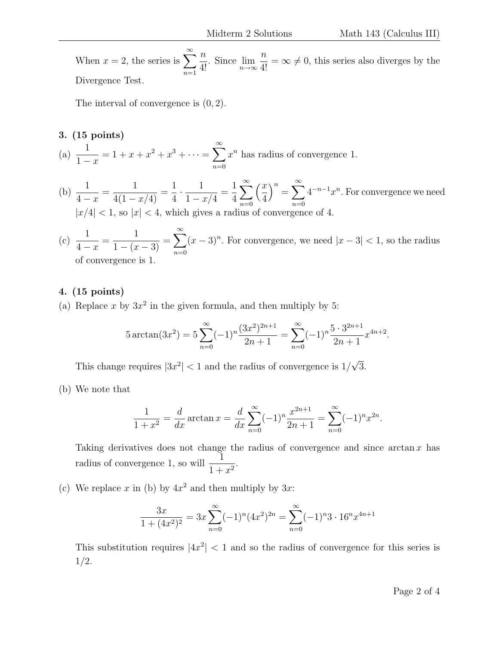When  $x = 2$ , the series is  $\sum_{n=1}^{\infty}$  $n=1$  $\overline{n}$  $\frac{n}{4!}$ . Since  $\lim_{n\to\infty}$  $\frac{n}{4!} = \infty \neq 0$ , this series also diverges by the Divergence Test.

The interval of convergence is (0, 2).

## 3. (15 points)

- (a)  $\frac{1}{1}$  $1 - x$  $= 1 + x + x^2 + x^3 + \cdots = \sum_{n=1}^{\infty}$  $n=0$  $x^n$  has radius of convergence 1.
- (b)  $\frac{1}{4}$  $4 - x$ = 1  $\frac{1}{4(1-x/4)}$  = 1 4  $\cdot \frac{1}{1}$  $1 - x/4$ = 1 4  $\sum^{\infty}$  $n=0$  $\frac{x}{2}$ 4  $\big)^n = \sum_{n=0}^\infty$  $n=0$  $4^{-n-1}x^n$ . For convergence we need  $|x/4|$  < 1, so  $|x|$  < 4, which gives a radius of convergence of 4.
- $(c) \frac{1}{4}$  $4 - x$ = 1  $\frac{1}{1-(x-3)}$  =  $\sum^{\infty}$  $n=0$  $(x-3)^n$ . For convergence, we need  $|x-3| < 1$ , so the radius of convergence is 1.

### 4. (15 points)

(a) Replace x by  $3x^2$  in the given formula, and then multiply by 5:

$$
5\arctan(3x^2) = 5\sum_{n=0}^{\infty} (-1)^n \frac{(3x^2)^{2n+1}}{2n+1} = \sum_{n=0}^{\infty} (-1)^n \frac{5 \cdot 3^{2n+1}}{2n+1} x^{4n+2}.
$$

This change requires  $|3x^2|$  < 1 and the radius of convergence is  $1/$ √ 3.

(b) We note that

$$
\frac{1}{1+x^2} = \frac{d}{dx} \arctan x = \frac{d}{dx} \sum_{n=0}^{\infty} (-1)^n \frac{x^{2n+1}}{2n+1} = \sum_{n=0}^{\infty} (-1)^n x^{2n}.
$$

Taking derivatives does not change the radius of convergence and since  $\arctan x$  has radius of convergence 1, so will  $\frac{1}{1}$  $\frac{1}{1+x^2}$ .

(c) We replace x in (b) by  $4x^2$  and then multiply by  $3x$ :

$$
\frac{3x}{1+(4x^2)^2} = 3x \sum_{n=0}^{\infty} (-1)^n (4x^2)^{2n} = \sum_{n=0}^{\infty} (-1)^n 3 \cdot 16^n x^{4n+1}
$$

This substitution requires  $|4x^2| < 1$  and so the radius of convergence for this series is 1/2.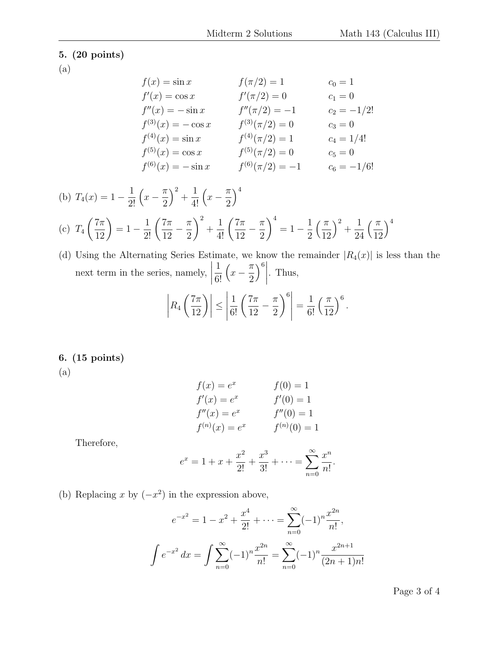# 5. (20 points)

(a)

$$
f(x) = \sin x \qquad f(\pi/2) = 1 \qquad c_0 = 1
$$
  
\n
$$
f'(x) = \cos x \qquad f'(\pi/2) = 0 \qquad c_1 = 0
$$
  
\n
$$
f''(x) = -\sin x \qquad f''(\pi/2) = -1 \qquad c_2 = -1/2!
$$
  
\n
$$
f^{(3)}(x) = -\cos x \qquad f^{(3)}(\pi/2) = 0 \qquad c_3 = 0
$$
  
\n
$$
f^{(4)}(x) = \sin x \qquad f^{(4)}(\pi/2) = 1 \qquad c_4 = 1/4!
$$
  
\n
$$
f^{(5)}(x) = \cos x \qquad f^{(5)}(\pi/2) = 0 \qquad c_5 = 0
$$
  
\n
$$
f^{(6)}(x) = -\sin x \qquad f^{(6)}(\pi/2) = -1 \qquad c_6 = -1/6!
$$

(b) 
$$
T_4(x) = 1 - \frac{1}{2!} \left(x - \frac{\pi}{2}\right)^2 + \frac{1}{4!} \left(x - \frac{\pi}{2}\right)^4
$$

$$
\text{(c)}\ \ T_4\left(\frac{7\pi}{12}\right) = 1 - \frac{1}{2!} \left(\frac{7\pi}{12} - \frac{\pi}{2}\right)^2 + \frac{1}{4!} \left(\frac{7\pi}{12} - \frac{\pi}{2}\right)^4 = 1 - \frac{1}{2} \left(\frac{\pi}{12}\right)^2 + \frac{1}{24} \left(\frac{\pi}{12}\right)^4
$$

(d) Using the Alternating Series Estimate, we know the remainder  $|R_4(x)|$  is less than the next term in the series, namely,  $\begin{array}{c} \begin{array}{c} \begin{array}{c} \begin{array}{c} \end{array} \\ \end{array} \\ \begin{array}{c} \end{array} \end{array} \end{array} \end{array}$ 1 6!  $\left(x-\frac{\pi}{2}\right)$ 2  $\left.\begin{matrix} \end{matrix}\right)^6 \left.\begin{matrix} \end{matrix}\right|$ . Thus,

$$
\left| R_4\left(\frac{7\pi}{12}\right) \right| \le \left| \frac{1}{6!} \left( \frac{7\pi}{12} - \frac{\pi}{2} \right)^6 \right| = \frac{1}{6!} \left( \frac{\pi}{12} \right)^6.
$$

# 6. (15 points)

(a)

$$
f(x) = e^x
$$
  
\n
$$
f'(x) = e^x
$$
  
\n
$$
f''(x) = e^x
$$
  
\n
$$
f''(0) = 1
$$
  
\n
$$
f'''(x) = e^x
$$
  
\n
$$
f^{(n)}(0) = 1
$$
  
\n
$$
f^{(n)}(0) = 1
$$

Therefore,

$$
e^x = 1 + x + \frac{x^2}{2!} + \frac{x^3}{3!} + \dots = \sum_{n=0}^{\infty} \frac{x^n}{n!}.
$$

(b) Replacing x by  $(-x^2)$  in the expression above,

$$
e^{-x^2} = 1 - x^2 + \frac{x^4}{2!} + \dots = \sum_{n=0}^{\infty} (-1)^n \frac{x^{2n}}{n!},
$$

$$
\int e^{-x^2} dx = \int \sum_{n=0}^{\infty} (-1)^n \frac{x^{2n}}{n!} = \sum_{n=0}^{\infty} (-1)^n \frac{x^{2n+1}}{(2n+1)n!}
$$

Page 3 of 4